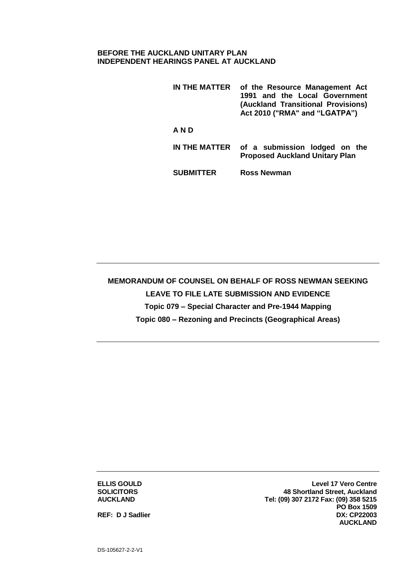## **BEFORE THE AUCKLAND UNITARY PLAN INDEPENDENT HEARINGS PANEL AT AUCKLAND**

**IN THE MATTER of the Resource Management Act 1991 and the Local Government (Auckland Transitional Provisions) Act 2010 ("RMA" and "LGATPA") A N D IN THE MATTER of a submission lodged on the Proposed Auckland Unitary Plan**

**SUBMITTER Ross Newman**

**MEMORANDUM OF COUNSEL ON BEHALF OF ROSS NEWMAN SEEKING LEAVE TO FILE LATE SUBMISSION AND EVIDENCE Topic 079 – Special Character and Pre-1944 Mapping Topic 080 – Rezoning and Precincts (Geographical Areas)**

**ELLIS GOULD SOLICITORS AUCKLAND**

**Level 17 Vero Centre 48 Shortland Street, Auckland Tel: (09) 307 2172 Fax: (09) 358 5215 PO Box 1509 DX: CP22003 AUCKLAND**

**REF: D J Sadlier**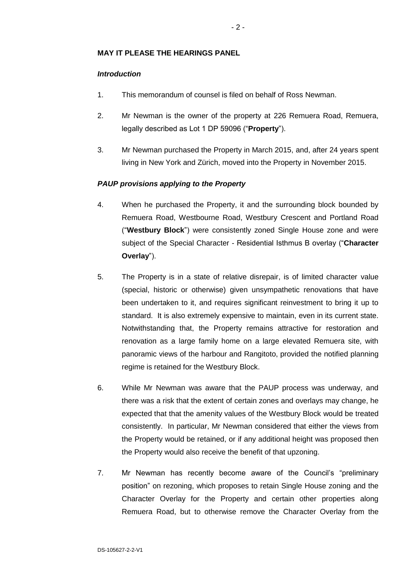# **MAY IT PLEASE THE HEARINGS PANEL**

## *Introduction*

- 1. This memorandum of counsel is filed on behalf of Ross Newman.
- 2. Mr Newman is the owner of the property at 226 Remuera Road, Remuera, legally described as Lot 1 DP 59096 ("**Property**").
- 3. Mr Newman purchased the Property in March 2015, and, after 24 years spent living in New York and Zürich, moved into the Property in November 2015.

# *PAUP provisions applying to the Property*

- 4. When he purchased the Property, it and the surrounding block bounded by Remuera Road, Westbourne Road, Westbury Crescent and Portland Road ("**Westbury Block**") were consistently zoned Single House zone and were subject of the Special Character - Residential Isthmus B overlay ("**Character Overlay**").
- 5. The Property is in a state of relative disrepair, is of limited character value (special, historic or otherwise) given unsympathetic renovations that have been undertaken to it, and requires significant reinvestment to bring it up to standard. It is also extremely expensive to maintain, even in its current state. Notwithstanding that, the Property remains attractive for restoration and renovation as a large family home on a large elevated Remuera site, with panoramic views of the harbour and Rangitoto, provided the notified planning regime is retained for the Westbury Block.
- 6. While Mr Newman was aware that the PAUP process was underway, and there was a risk that the extent of certain zones and overlays may change, he expected that that the amenity values of the Westbury Block would be treated consistently. In particular, Mr Newman considered that either the views from the Property would be retained, or if any additional height was proposed then the Property would also receive the benefit of that upzoning.
- 7. Mr Newman has recently become aware of the Council's "preliminary position" on rezoning, which proposes to retain Single House zoning and the Character Overlay for the Property and certain other properties along Remuera Road, but to otherwise remove the Character Overlay from the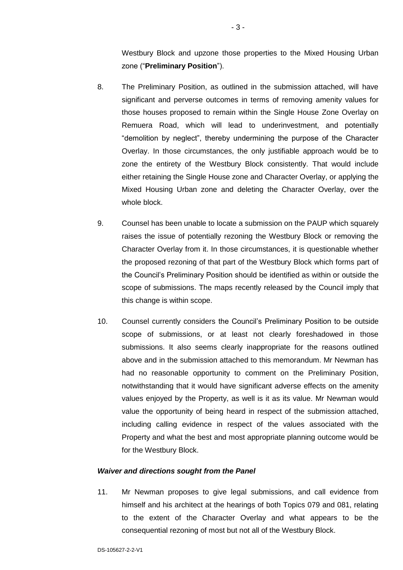Westbury Block and upzone those properties to the Mixed Housing Urban zone ("**Preliminary Position**").

- 8. The Preliminary Position, as outlined in the submission attached, will have significant and perverse outcomes in terms of removing amenity values for those houses proposed to remain within the Single House Zone Overlay on Remuera Road, which will lead to underinvestment, and potentially "demolition by neglect", thereby undermining the purpose of the Character Overlay. In those circumstances, the only justifiable approach would be to zone the entirety of the Westbury Block consistently. That would include either retaining the Single House zone and Character Overlay, or applying the Mixed Housing Urban zone and deleting the Character Overlay, over the whole block.
- 9. Counsel has been unable to locate a submission on the PAUP which squarely raises the issue of potentially rezoning the Westbury Block or removing the Character Overlay from it. In those circumstances, it is questionable whether the proposed rezoning of that part of the Westbury Block which forms part of the Council's Preliminary Position should be identified as within or outside the scope of submissions. The maps recently released by the Council imply that this change is within scope.
- 10. Counsel currently considers the Council's Preliminary Position to be outside scope of submissions, or at least not clearly foreshadowed in those submissions. It also seems clearly inappropriate for the reasons outlined above and in the submission attached to this memorandum. Mr Newman has had no reasonable opportunity to comment on the Preliminary Position, notwithstanding that it would have significant adverse effects on the amenity values enjoyed by the Property, as well is it as its value. Mr Newman would value the opportunity of being heard in respect of the submission attached, including calling evidence in respect of the values associated with the Property and what the best and most appropriate planning outcome would be for the Westbury Block.

#### *Waiver and directions sought from the Panel*

11. Mr Newman proposes to give legal submissions, and call evidence from himself and his architect at the hearings of both Topics 079 and 081, relating to the extent of the Character Overlay and what appears to be the consequential rezoning of most but not all of the Westbury Block.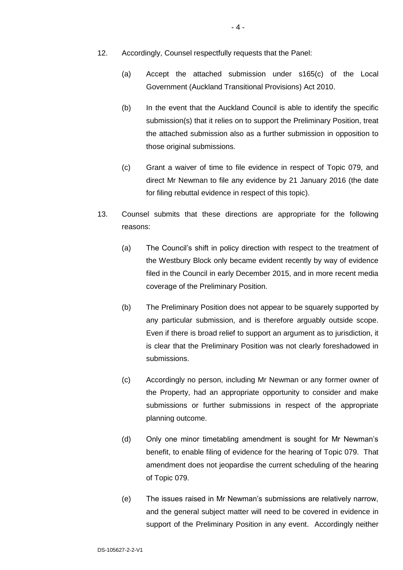- 12. Accordingly, Counsel respectfully requests that the Panel:
	- (a) Accept the attached submission under s165(c) of the Local Government (Auckland Transitional Provisions) Act 2010.
	- (b) In the event that the Auckland Council is able to identify the specific submission(s) that it relies on to support the Preliminary Position, treat the attached submission also as a further submission in opposition to those original submissions.
	- (c) Grant a waiver of time to file evidence in respect of Topic 079, and direct Mr Newman to file any evidence by 21 January 2016 (the date for filing rebuttal evidence in respect of this topic).
- 13. Counsel submits that these directions are appropriate for the following reasons:
	- (a) The Council's shift in policy direction with respect to the treatment of the Westbury Block only became evident recently by way of evidence filed in the Council in early December 2015, and in more recent media coverage of the Preliminary Position.
	- (b) The Preliminary Position does not appear to be squarely supported by any particular submission, and is therefore arguably outside scope. Even if there is broad relief to support an argument as to jurisdiction, it is clear that the Preliminary Position was not clearly foreshadowed in submissions.
	- (c) Accordingly no person, including Mr Newman or any former owner of the Property, had an appropriate opportunity to consider and make submissions or further submissions in respect of the appropriate planning outcome.
	- (d) Only one minor timetabling amendment is sought for Mr Newman's benefit, to enable filing of evidence for the hearing of Topic 079. That amendment does not jeopardise the current scheduling of the hearing of Topic 079.
	- (e) The issues raised in Mr Newman's submissions are relatively narrow, and the general subject matter will need to be covered in evidence in support of the Preliminary Position in any event. Accordingly neither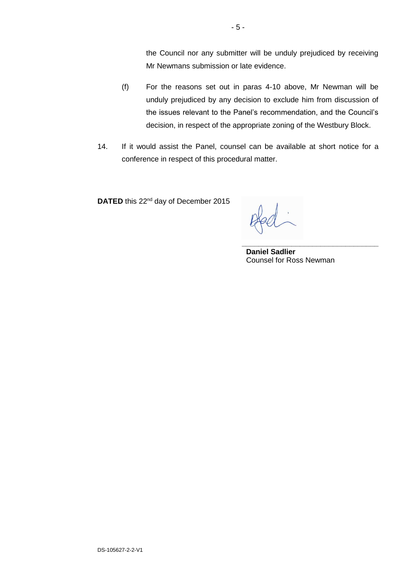the Council nor any submitter will be unduly prejudiced by receiving Mr Newmans submission or late evidence.

- (f) For the reasons set out in paras 4-10 above, Mr Newman will be unduly prejudiced by any decision to exclude him from discussion of the issues relevant to the Panel's recommendation, and the Council's decision, in respect of the appropriate zoning of the Westbury Block.
- 14. If it would assist the Panel, counsel can be available at short notice for a conference in respect of this procedural matter.

**DATED** this 22<sup>nd</sup> day of December 2015

**\_\_\_\_\_\_\_\_\_\_\_\_\_\_\_\_\_\_\_\_\_\_\_\_\_\_\_\_\_\_\_\_\_ Daniel Sadlier** Counsel for Ross Newman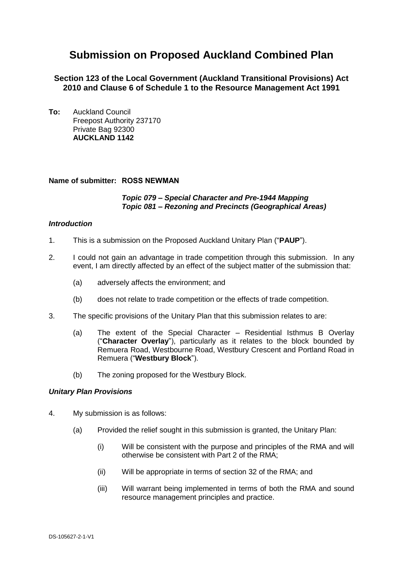# **Submission on Proposed Auckland Combined Plan**

**Section 123 of the Local Government (Auckland Transitional Provisions) Act 2010 and Clause 6 of Schedule 1 to the Resource Management Act 1991**

**To:** Auckland Council Freepost Authority 237170 Private Bag 92300 **AUCKLAND 1142**

## **Name of submitter: ROSS NEWMAN**

#### *Topic 079 – Special Character and Pre-1944 Mapping Topic 081 – Rezoning and Precincts (Geographical Areas)*

#### *Introduction*

- 1. This is a submission on the Proposed Auckland Unitary Plan ("**PAUP**").
- 2. I could not gain an advantage in trade competition through this submission. In any event, I am directly affected by an effect of the subject matter of the submission that:
	- (a) adversely affects the environment; and
	- (b) does not relate to trade competition or the effects of trade competition.
- 3. The specific provisions of the Unitary Plan that this submission relates to are:
	- (a) The extent of the Special Character Residential Isthmus B Overlay ("**Character Overlay**"), particularly as it relates to the block bounded by Remuera Road, Westbourne Road, Westbury Crescent and Portland Road in Remuera ("**Westbury Block**").
	- (b) The zoning proposed for the Westbury Block.

#### *Unitary Plan Provisions*

- 4. My submission is as follows:
	- (a) Provided the relief sought in this submission is granted, the Unitary Plan:
		- (i) Will be consistent with the purpose and principles of the RMA and will otherwise be consistent with Part 2 of the RMA;
		- (ii) Will be appropriate in terms of section 32 of the RMA; and
		- (iii) Will warrant being implemented in terms of both the RMA and sound resource management principles and practice.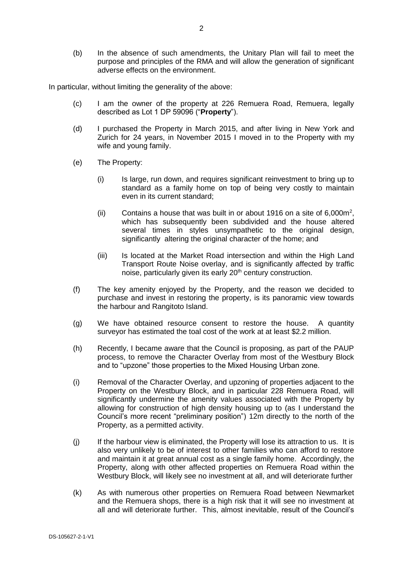(b) In the absence of such amendments, the Unitary Plan will fail to meet the purpose and principles of the RMA and will allow the generation of significant adverse effects on the environment.

In particular, without limiting the generality of the above:

- (c) I am the owner of the property at 226 Remuera Road, Remuera, legally described as Lot 1 DP 59096 ("**Property**").
- (d) I purchased the Property in March 2015, and after living in New York and Zurich for 24 years, in November 2015 I moved in to the Property with my wife and young family.
- (e) The Property:
	- (i) Is large, run down, and requires significant reinvestment to bring up to standard as a family home on top of being very costly to maintain even in its current standard;
	- (ii) Contains a house that was built in or about 1916 on a site of  $6,000m^2$ , which has subsequently been subdivided and the house altered several times in styles unsympathetic to the original design, significantly altering the original character of the home; and
	- (iii) Is located at the Market Road intersection and within the High Land Transport Route Noise overlay, and is significantly affected by traffic noise, particularly given its early 20<sup>th</sup> century construction.
- (f) The key amenity enjoyed by the Property, and the reason we decided to purchase and invest in restoring the property, is its panoramic view towards the harbour and Rangitoto Island.
- (g) We have obtained resource consent to restore the house. A quantity surveyor has estimated the toal cost of the work at at least \$2.2 million.
- (h) Recently, I became aware that the Council is proposing, as part of the PAUP process, to remove the Character Overlay from most of the Westbury Block and to "upzone" those properties to the Mixed Housing Urban zone.
- (i) Removal of the Character Overlay, and upzoning of properties adjacent to the Property on the Westbury Block, and in particular 228 Remuera Road, will significantly undermine the amenity values associated with the Property by allowing for construction of high density housing up to (as I understand the Council's more recent "preliminary position") 12m directly to the north of the Property, as a permitted activity.
- (j) If the harbour view is eliminated, the Property will lose its attraction to us. It is also very unlikely to be of interest to other families who can afford to restore and maintain it at great annual cost as a single family home. Accordingly, the Property, along with other affected properties on Remuera Road within the Westbury Block, will likely see no investment at all, and will deteriorate further
- (k) As with numerous other properties on Remuera Road between Newmarket and the Remuera shops, there is a high risk that it will see no investment at all and will deteriorate further. This, almost inevitable, result of the Council's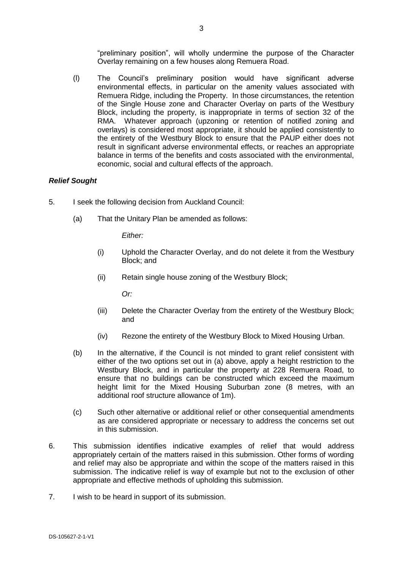"preliminary position", will wholly undermine the purpose of the Character Overlay remaining on a few houses along Remuera Road.

(l) The Council's preliminary position would have significant adverse environmental effects, in particular on the amenity values associated with Remuera Ridge, including the Property. In those circumstances, the retention of the Single House zone and Character Overlay on parts of the Westbury Block, including the property, is inappropriate in terms of section 32 of the RMA. Whatever approach (upzoning or retention of notified zoning and overlays) is considered most appropriate, it should be applied consistently to the entirety of the Westbury Block to ensure that the PAUP either does not result in significant adverse environmental effects, or reaches an appropriate balance in terms of the benefits and costs associated with the environmental, economic, social and cultural effects of the approach.

## *Relief Sought*

- 5. I seek the following decision from Auckland Council:
	- (a) That the Unitary Plan be amended as follows:

*Either:*

- (i) Uphold the Character Overlay, and do not delete it from the Westbury Block; and
- (ii) Retain single house zoning of the Westbury Block;

*Or:*

- (iii) Delete the Character Overlay from the entirety of the Westbury Block; and
- (iv) Rezone the entirety of the Westbury Block to Mixed Housing Urban.
- (b) In the alternative, if the Council is not minded to grant relief consistent with either of the two options set out in (a) above, apply a height restriction to the Westbury Block, and in particular the property at 228 Remuera Road, to ensure that no buildings can be constructed which exceed the maximum height limit for the Mixed Housing Suburban zone (8 metres, with an additional roof structure allowance of 1m).
- (c) Such other alternative or additional relief or other consequential amendments as are considered appropriate or necessary to address the concerns set out in this submission.
- 6. This submission identifies indicative examples of relief that would address appropriately certain of the matters raised in this submission. Other forms of wording and relief may also be appropriate and within the scope of the matters raised in this submission. The indicative relief is way of example but not to the exclusion of other appropriate and effective methods of upholding this submission.
- 7. I wish to be heard in support of its submission.